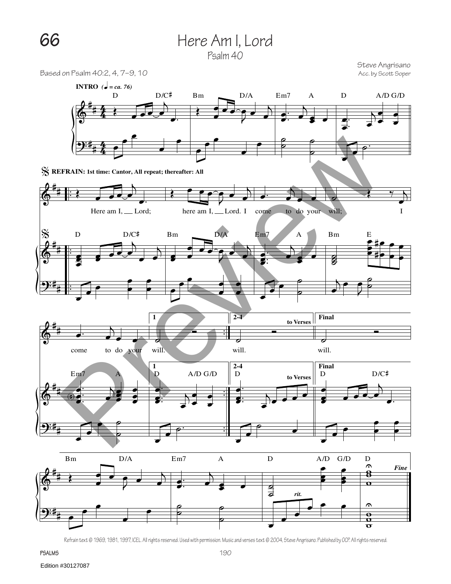## **66** Here Am I, Lord



Steve Angrisano<br>Acc. by Scott Soper

 $\sigma$ 

Based on Psalm 40:2, 4, 7-9, 10



Refrain text © 1969, 1981, 1997, ICEL. All rights reserved. Used with permission. Music and verses text © 2004, Steve Angrisano. Published by OCP. All rights reserved.